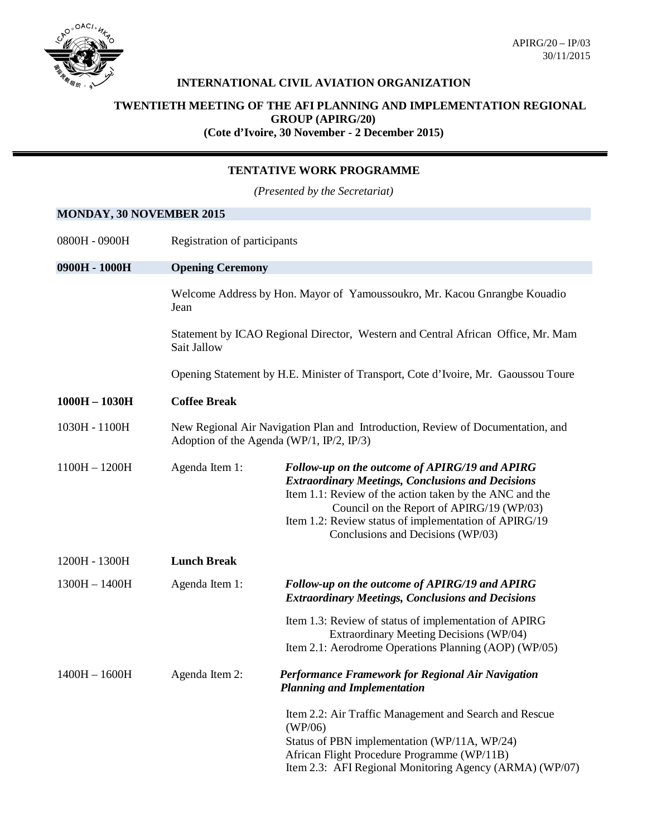

APIRG/20 – IP/03 30/11/2015

### **INTERNATIONAL CIVIL AVIATION ORGANIZATION**

#### **TWENTIETH MEETING OF THE AFI PLANNING AND IMPLEMENTATION REGIONAL GROUP (APIRG/20)**

**(Cote d'Ivoire, 30 November - 2 December 2015)**

### **TENTATIVE WORK PROGRAMME**

*(Presented by the Secretariat)*

## **MONDAY, 30 NOVEMBER 2015**

| 0800H - 0900H   | Registration of participants                                                                                                 |                                                                                                                                                                                                                                                                                                                  |  |
|-----------------|------------------------------------------------------------------------------------------------------------------------------|------------------------------------------------------------------------------------------------------------------------------------------------------------------------------------------------------------------------------------------------------------------------------------------------------------------|--|
| 0900H - 1000H   | <b>Opening Ceremony</b>                                                                                                      |                                                                                                                                                                                                                                                                                                                  |  |
|                 | Welcome Address by Hon. Mayor of Yamoussoukro, Mr. Kacou Gnrangbe Kouadio<br>Jean                                            |                                                                                                                                                                                                                                                                                                                  |  |
|                 | Sait Jallow                                                                                                                  | Statement by ICAO Regional Director, Western and Central African Office, Mr. Mam                                                                                                                                                                                                                                 |  |
|                 | Opening Statement by H.E. Minister of Transport, Cote d'Ivoire, Mr. Gaoussou Toure                                           |                                                                                                                                                                                                                                                                                                                  |  |
| $1000H - 1030H$ | <b>Coffee Break</b>                                                                                                          |                                                                                                                                                                                                                                                                                                                  |  |
| 1030H - 1100H   | New Regional Air Navigation Plan and Introduction, Review of Documentation, and<br>Adoption of the Agenda (WP/1, IP/2, IP/3) |                                                                                                                                                                                                                                                                                                                  |  |
| $1100H - 1200H$ | Agenda Item 1:                                                                                                               | Follow-up on the outcome of APIRG/19 and APIRG<br><b>Extraordinary Meetings, Conclusions and Decisions</b><br>Item 1.1: Review of the action taken by the ANC and the<br>Council on the Report of APIRG/19 (WP/03)<br>Item 1.2: Review status of implementation of APIRG/19<br>Conclusions and Decisions (WP/03) |  |
| 1200H - 1300H   | <b>Lunch Break</b>                                                                                                           |                                                                                                                                                                                                                                                                                                                  |  |
| $1300H - 1400H$ | Agenda Item 1:                                                                                                               | Follow-up on the outcome of APIRG/19 and APIRG<br><b>Extraordinary Meetings, Conclusions and Decisions</b>                                                                                                                                                                                                       |  |
|                 |                                                                                                                              | Item 1.3: Review of status of implementation of APIRG<br>Extraordinary Meeting Decisions (WP/04)<br>Item 2.1: Aerodrome Operations Planning (AOP) (WP/05)                                                                                                                                                        |  |
| $1400H - 1600H$ | Agenda Item 2:                                                                                                               | Performance Framework for Regional Air Navigation<br><b>Planning and Implementation</b>                                                                                                                                                                                                                          |  |
|                 |                                                                                                                              | Item 2.2: Air Traffic Management and Search and Rescue<br>(WP/06)<br>Status of PBN implementation (WP/11A, WP/24)<br>African Flight Procedure Programme (WP/11B)<br>Item 2.3: AFI Regional Monitoring Agency (ARMA) (WP/07)                                                                                      |  |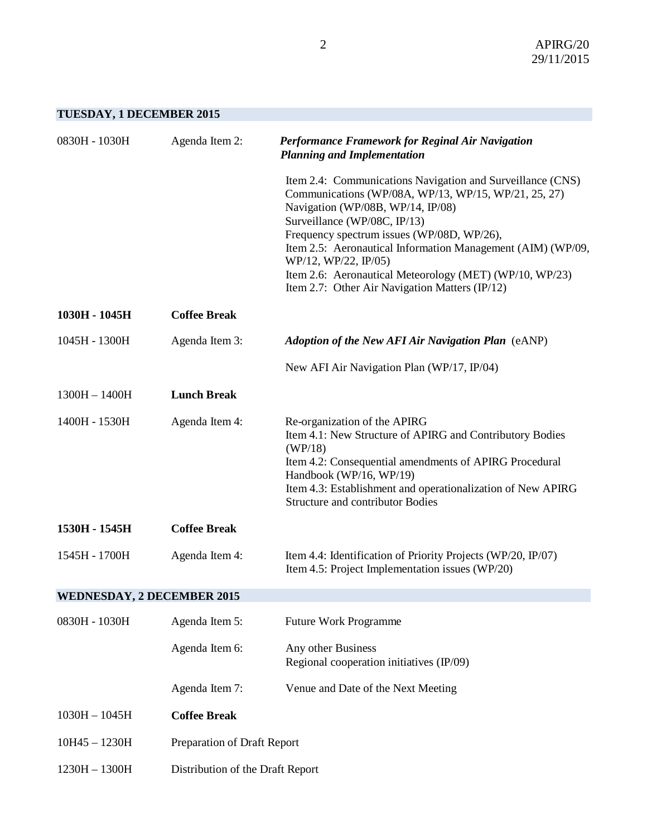# **TUESDAY, 1 DECEMBER 2015**

| 0830H - 1030H                     | Agenda Item 2:                   | Performance Framework for Reginal Air Navigation<br><b>Planning and Implementation</b>                                                                                                                                                                                                                                                                                                                                                    |
|-----------------------------------|----------------------------------|-------------------------------------------------------------------------------------------------------------------------------------------------------------------------------------------------------------------------------------------------------------------------------------------------------------------------------------------------------------------------------------------------------------------------------------------|
|                                   |                                  | Item 2.4: Communications Navigation and Surveillance (CNS)<br>Communications (WP/08A, WP/13, WP/15, WP/21, 25, 27)<br>Navigation (WP/08B, WP/14, IP/08)<br>Surveillance (WP/08C, IP/13)<br>Frequency spectrum issues (WP/08D, WP/26),<br>Item 2.5: Aeronautical Information Management (AIM) (WP/09,<br>WP/12, WP/22, IP/05)<br>Item 2.6: Aeronautical Meteorology (MET) (WP/10, WP/23)<br>Item 2.7: Other Air Navigation Matters (IP/12) |
| 1030H - 1045H                     | <b>Coffee Break</b>              |                                                                                                                                                                                                                                                                                                                                                                                                                                           |
| 1045H - 1300H                     | Agenda Item 3:                   | <b>Adoption of the New AFI Air Navigation Plan</b> (eANP)                                                                                                                                                                                                                                                                                                                                                                                 |
|                                   |                                  | New AFI Air Navigation Plan (WP/17, IP/04)                                                                                                                                                                                                                                                                                                                                                                                                |
| $1300H - 1400H$                   | <b>Lunch Break</b>               |                                                                                                                                                                                                                                                                                                                                                                                                                                           |
| 1400H - 1530H                     | Agenda Item 4:                   | Re-organization of the APIRG<br>Item 4.1: New Structure of APIRG and Contributory Bodies<br>(WP/18)<br>Item 4.2: Consequential amendments of APIRG Procedural<br>Handbook (WP/16, WP/19)<br>Item 4.3: Establishment and operationalization of New APIRG<br><b>Structure and contributor Bodies</b>                                                                                                                                        |
| 1530H - 1545H                     | <b>Coffee Break</b>              |                                                                                                                                                                                                                                                                                                                                                                                                                                           |
| 1545H - 1700H                     | Agenda Item 4:                   | Item 4.4: Identification of Priority Projects (WP/20, IP/07)<br>Item 4.5: Project Implementation issues (WP/20)                                                                                                                                                                                                                                                                                                                           |
| <b>WEDNESDAY, 2 DECEMBER 2015</b> |                                  |                                                                                                                                                                                                                                                                                                                                                                                                                                           |
| 0830H - 1030H                     | Agenda Item 5:                   | <b>Future Work Programme</b>                                                                                                                                                                                                                                                                                                                                                                                                              |
|                                   | Agenda Item 6:                   | Any other Business<br>Regional cooperation initiatives (IP/09)                                                                                                                                                                                                                                                                                                                                                                            |
|                                   | Agenda Item 7:                   | Venue and Date of the Next Meeting                                                                                                                                                                                                                                                                                                                                                                                                        |
| $1030H - 1045H$                   | <b>Coffee Break</b>              |                                                                                                                                                                                                                                                                                                                                                                                                                                           |
| $10H45 - 1230H$                   | Preparation of Draft Report      |                                                                                                                                                                                                                                                                                                                                                                                                                                           |
| $1230H - 1300H$                   | Distribution of the Draft Report |                                                                                                                                                                                                                                                                                                                                                                                                                                           |